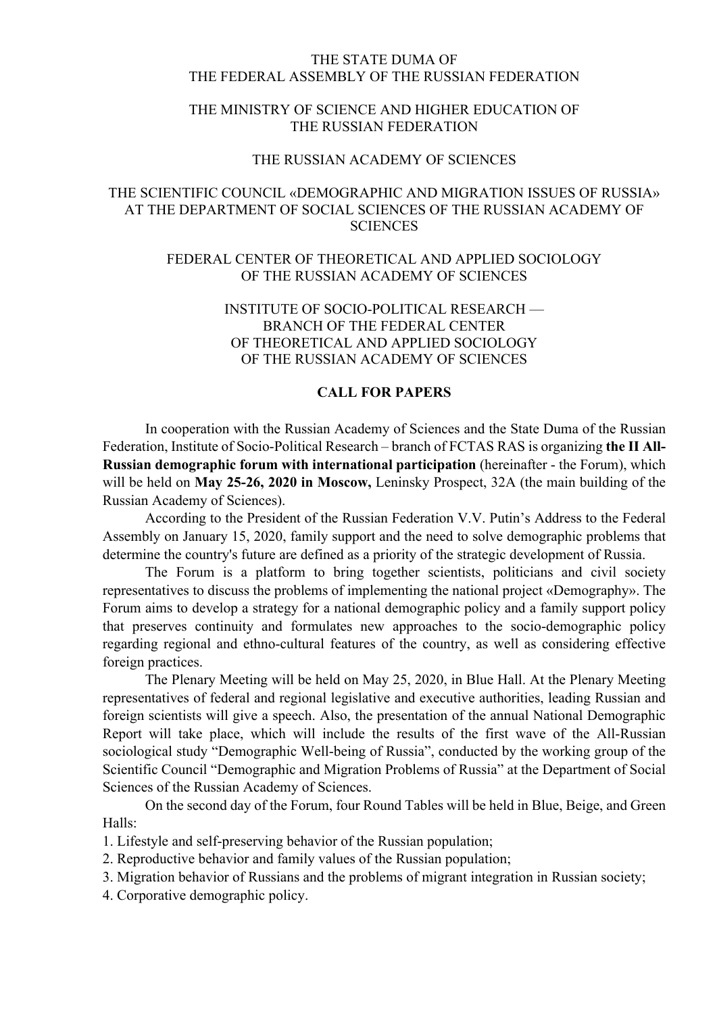#### THE STATE DUMA OF THE FEDERAL ASSEMBLY OF THE RUSSIAN FEDERATION

#### THE MINISTRY OF SCIENCE AND HIGHER EDUCATION OF THE RUSSIAN FEDERATION

#### THE RUSSIAN ACADEMY OF SCIENCES

## THE SCIENTIFIC COUNCIL «DEMOGRAPHIC AND MIGRATION ISSUES OF RUSSIA» AT THE DEPARTMENT OF SOCIAL SCIENCES OF THE RUSSIAN ACADEMY OF **SCIENCES**

## FEDERAL CENTER OF THEORETICAL AND APPLIED SOCIOLOGY OF THE RUSSIAN ACADEMY OF SCIENCES

# INSTITUTE OF SOCIO-POLITICAL RESEARCH — BRANCH OF THE FEDERAL CENTER OF THEORETICAL AND APPLIED SOCIOLOGY OF THE RUSSIAN ACADEMY OF SCIENCES

## **CALL FOR PAPERS**

In cooperation with the Russian Academy of Sciences and the State Duma of the Russian Federation, Institute of Socio-Political Research – branch of FCTAS RAS is organizing **the II All-Russian demographic forum with international participation** (hereinafter - the Forum), which will be held on **May 25-26, 2020 in Moscow,** Leninsky Prospect, 32A (the main building of the Russian Academy of Sciences).

According to the President of the Russian Federation V.V. Putin's Address to the Federal Assembly on January 15, 2020, family support and the need to solve demographic problems that determine the country's future are defined as a priority of the strategic development of Russia.

The Forum is a platform to bring together scientists, politicians and civil society representatives to discuss the problems of implementing the national project «Demography». The Forum aims to develop a strategy for a national demographic policy and a family support policy that preserves continuity and formulates new approaches to the socio-demographic policy regarding regional and ethno-cultural features of the country, as well as considering effective foreign practices.

The Plenary Meeting will be held on May 25, 2020, in Blue Hall. At the Plenary Meeting representatives of federal and regional legislative and executive authorities, leading Russian and foreign scientists will give a speech. Also, the presentation of the annual National Demographic Report will take place, which will include the results of the first wave of the All-Russian sociological study "Demographic Well-being of Russia", conducted by the working group of the Scientific Council "Demographic and Migration Problems of Russia" at the Department of Social Sciences of the Russian Academy of Sciences.

On the second day of the Forum, four Round Tables will be held in Blue, Beige, and Green Halls:

1. Lifestyle and self-preserving behavior of the Russian population;

2. Reproductive behavior and family values of the Russian population;

3. Migration behavior of Russians and the problems of migrant integration in Russian society;

4. Corporative demographic policy.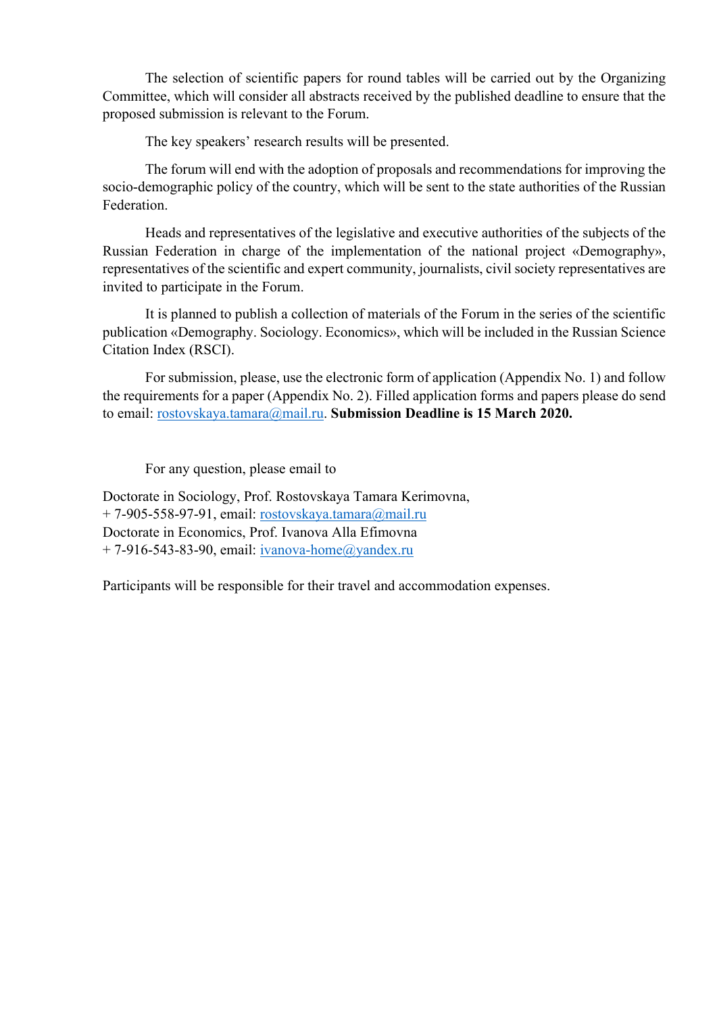The selection of scientific papers for round tables will be carried out by the Organizing Committee, which will consider all abstracts received by the published deadline to ensure that the proposed submission is relevant to the Forum.

The key speakers' research results will be presented.

The forum will end with the adoption of proposals and recommendations for improving the socio-demographic policy of the country, which will be sent to the state authorities of the Russian Federation.

Heads and representatives of the legislative and executive authorities of the subjects of the Russian Federation in charge of the implementation of the national project «Demography», representatives of the scientific and expert community, journalists, civil society representatives are invited to participate in the Forum.

It is planned to publish a collection of materials of the Forum in the series of the scientific publication «Demography. Sociology. Economics», which will be included in the Russian Science Citation Index (RSCI).

For submission, please, use the electronic form of application (Appendix No. 1) and follow the requirements for a paper (Appendix No. 2). Filled application forms and papers please do send to email: rostovskaya.tamara@mail.ru. **Submission Deadline is 15 March 2020.**

For any question, please email to

Doctorate in Sociology, Prof. Rostovskaya Tamara Kerimovna, + 7-905-558-97-91, email: rostovskaya.tamara@mail.ru Doctorate in Economics, Prof. Ivanova Alla Efimovna  $+ 7-916-543-83-90$ , email: ivanova-home@yandex.ru

Participants will be responsible for their travel and accommodation expenses.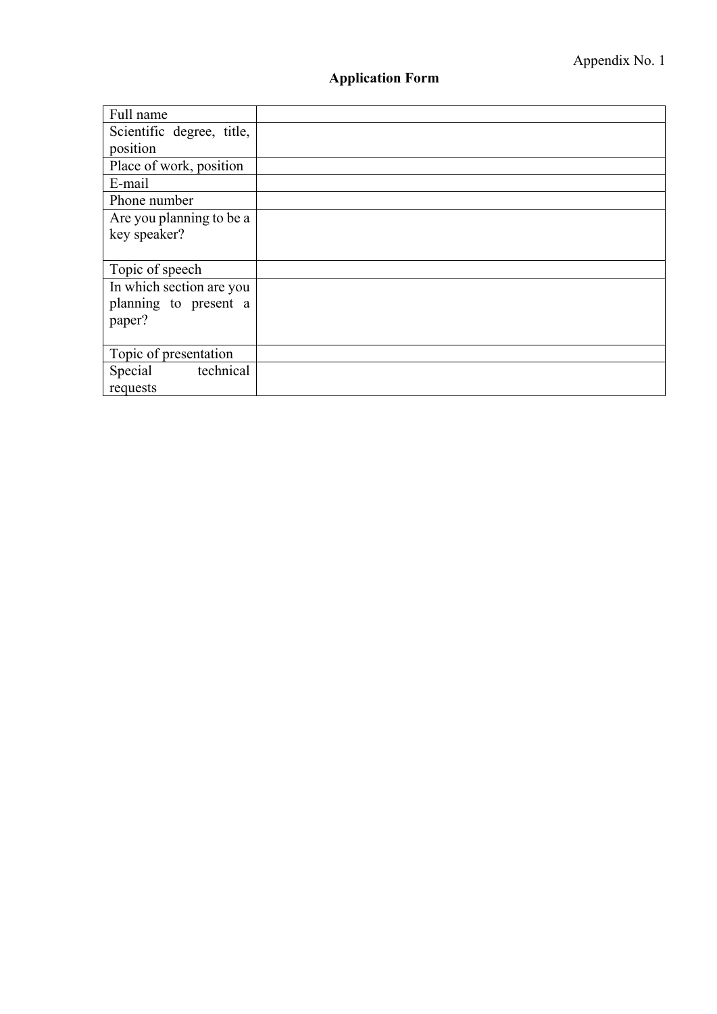# **Application Form**

| Full name                 |  |
|---------------------------|--|
| Scientific degree, title, |  |
| position                  |  |
| Place of work, position   |  |
| E-mail                    |  |
| Phone number              |  |
| Are you planning to be a  |  |
| key speaker?              |  |
|                           |  |
| Topic of speech           |  |
| In which section are you  |  |
| planning to present a     |  |
| paper?                    |  |
|                           |  |
| Topic of presentation     |  |
| technical<br>Special      |  |
| requests                  |  |